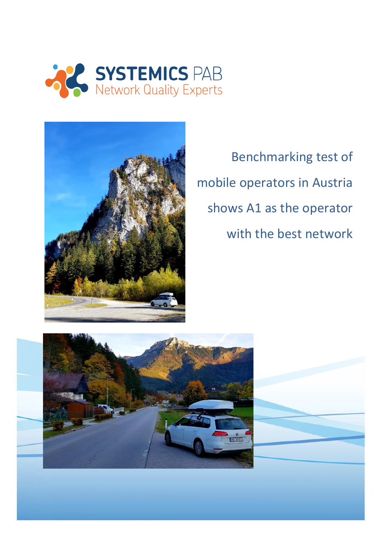



Benchmarking test of mobile operators in Austria shows A1 as the operator with the best network



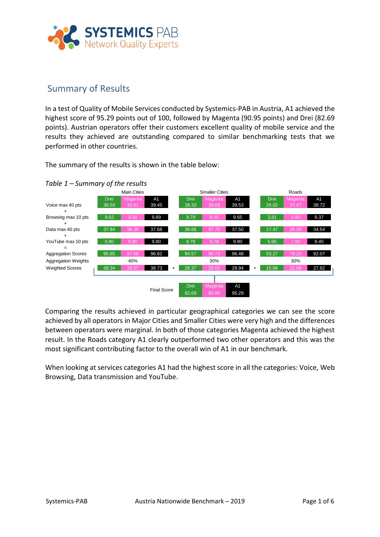

## Summary of Results

In a test of Quality of Mobile Services conducted by Systemics-PAB in Austria, A1 achieved the highest score of 95.29 points out of 100, followed by Magenta (90.95 points) and Drei (82.69 points). Austrian operators offer their customers excellent quality of mobile service and the results they achieved are outstanding compared to similar benchmarking tests that we performed in other countries.

The summary of the results is shown in the table below:

#### *Table 1 – Summary of the results*



Comparing the results achieved in particular geographical categories we can see the score achieved by all operators in Major Cities and Smaller Cities were very high and the differences between operators were marginal. In both of those categories Magenta achieved the highest result. In the Roads category A1 clearly outperformed two other operators and this was the most significant contributing factor to the overall win of A1 in our benchmark.

When looking at services categories A1 had the highest score in all the categories: Voice, Web Browsing, Data transmission and YouTube.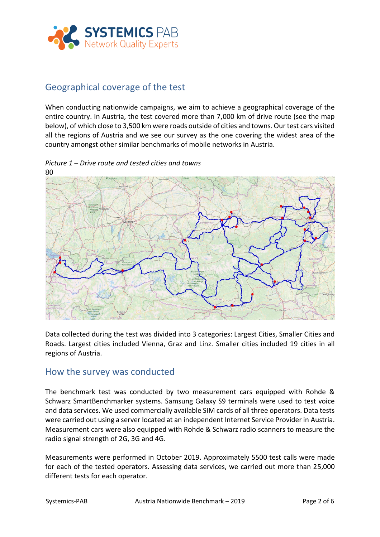

# Geographical coverage of the test

When conducting nationwide campaigns, we aim to achieve a geographical coverage of the entire country. In Austria, the test covered more than 7,000 km of drive route (see the map below), of which close to 3,500 km were roads outside of cities and towns. Our test cars visited all the regions of Austria and we see our survey as the one covering the widest area of the country amongst other similar benchmarks of mobile networks in Austria.

80

*Picture 1 – Drive route and tested cities and towns*

Data collected during the test was divided into 3 categories: Largest Cities, Smaller Cities and Roads. Largest cities included Vienna, Graz and Linz. Smaller cities included 19 cities in all regions of Austria.

### How the survey was conducted

The benchmark test was conducted by two measurement cars equipped with Rohde & Schwarz SmartBenchmarker systems. Samsung Galaxy S9 terminals were used to test voice and data services. We used commercially available SIM cards of all three operators. Data tests were carried out using a server located at an independent Internet Service Provider in Austria. Measurement cars were also equipped with Rohde & Schwarz radio scanners to measure the radio signal strength of 2G, 3G and 4G.

Measurements were performed in October 2019. Approximately 5500 test calls were made for each of the tested operators. Assessing data services, we carried out more than 25,000 different tests for each operator.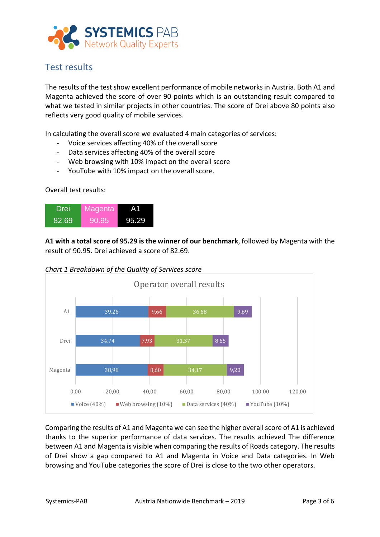

# Test results

The results of the test show excellent performance of mobile networks in Austria. Both A1 and Magenta achieved the score of over 90 points which is an outstanding result compared to what we tested in similar projects in other countries. The score of Drei above 80 points also reflects very good quality of mobile services.

In calculating the overall score we evaluated 4 main categories of services:

- Voice services affecting 40% of the overall score
- Data services affecting 40% of the overall score
- Web browsing with 10% impact on the overall score
- YouTube with 10% impact on the overall score.

#### Overall test results:



**A1 with a total score of 95.29 is the winner of our benchmark**, followed by Magenta with the result of 90.95. Drei achieved a score of 82.69.

*Chart 1 Breakdown of the Quality of Services score* 



Comparing the results of A1 and Magenta we can see the higher overall score of A1 is achieved thanks to the superior performance of data services. The results achieved The difference between A1 and Magenta is visible when comparing the results of Roads category. The results of Drei show a gap compared to A1 and Magenta in Voice and Data categories. In Web browsing and YouTube categories the score of Drei is close to the two other operators.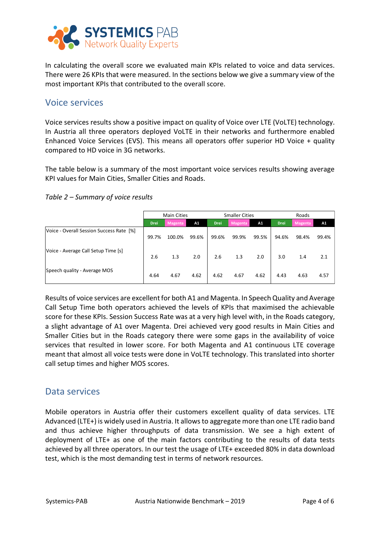

In calculating the overall score we evaluated main KPIs related to voice and data services. There were 26 KPIs that were measured. In the sections below we give a summary view of the most important KPIs that contributed to the overall score.

### Voice services

Voice services results show a positive impact on quality of Voice over LTE (VoLTE) technology. In Austria all three operators deployed VoLTE in their networks and furthermore enabled Enhanced Voice Services (EVS). This means all operators offer superior HD Voice + quality compared to HD voice in 3G networks.

The table below is a summary of the most important voice services results showing average KPI values for Main Cities, Smaller Cities and Roads.

*Table 2 – Summary of voice results*

|                                          | <b>Main Cities</b> |                |       | <b>Smaller Cities</b> |                |       | Roads       |                |       |
|------------------------------------------|--------------------|----------------|-------|-----------------------|----------------|-------|-------------|----------------|-------|
|                                          | <b>Drei</b>        | <b>Magenta</b> | A1    | <b>Drei</b>           | <b>Magenta</b> | A1    | <b>Drei</b> | <b>Magenta</b> | A1    |
| Voice - Overall Session Success Rate [%] | 99.7%              | 100.0%         | 99.6% | 99.6%                 | 99.9%          | 99.5% | 94.6%       | 98.4%          | 99.4% |
| Voice - Average Call Setup Time [s]      | 2.6                | 1.3            | 2.0   | 2.6                   | 1.3            | 2.0   | 3.0         | 1.4            | 2.1   |
| Speech quality - Average MOS             | 4.64               | 4.67           | 4.62  | 4.62                  | 4.67           | 4.62  | 4.43        | 4.63           | 4.57  |

Results of voice services are excellent for both A1 and Magenta. In Speech Quality and Average Call Setup Time both operators achieved the levels of KPIs that maximised the achievable score for these KPIs. Session Success Rate was at a very high level with, in the Roads category, a slight advantage of A1 over Magenta. Drei achieved very good results in Main Cities and Smaller Cities but in the Roads category there were some gaps in the availability of voice services that resulted in lower score. For both Magenta and A1 continuous LTE coverage meant that almost all voice tests were done in VoLTE technology. This translated into shorter call setup times and higher MOS scores.

### Data services

Mobile operators in Austria offer their customers excellent quality of data services. LTE Advanced (LTE+) is widely used in Austria. It allows to aggregate more than one LTE radio band and thus achieve higher throughputs of data transmission. We see a high extent of deployment of LTE+ as one of the main factors contributing to the results of data tests achieved by all three operators. In our test the usage of LTE+ exceeded 80% in data download test, which is the most demanding test in terms of network resources.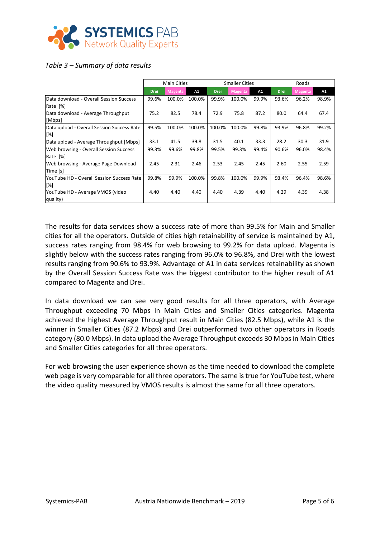

#### *Table 3 – Summary of data results*

|                                            | <b>Main Cities</b> |                |        | <b>Smaller Cities</b> |         |       | Roads       |                |       |
|--------------------------------------------|--------------------|----------------|--------|-----------------------|---------|-------|-------------|----------------|-------|
|                                            | <b>Drei</b>        | <b>Magenta</b> | A1     | <b>Drei</b>           | Magenta | A1    | <b>Drei</b> | <b>Magenta</b> | A1    |
| Data download - Overall Session Success    | 99.6%              | 100.0%         | 100.0% | 99.9%                 | 100.0%  | 99.9% | 93.6%       | 96.2%          | 98.9% |
| Rate [%]                                   |                    |                |        |                       |         |       |             |                |       |
| Data download - Average Throughput         | 75.2               | 82.5           | 78.4   | 72.9                  | 75.8    | 87.2  | 80.0        | 64.4           | 67.4  |
| [Mbps]                                     |                    |                |        |                       |         |       |             |                |       |
| Data upload - Overall Session Success Rate | 99.5%              | 100.0%         | 100.0% | 100.0%                | 100.0%  | 99.8% | 93.9%       | 96.8%          | 99.2% |
| [%]                                        |                    |                |        |                       |         |       |             |                |       |
| Data upload - Average Throughput [Mbps]    | 33.1               | 41.5           | 39.8   | 31.5                  | 40.1    | 33.3  | 28.2        | 30.3           | 31.9  |
| Web browsing - Overall Session Success     | 99.3%              | 99.6%          | 99.8%  | 99.5%                 | 99.3%   | 99.4% | 90.6%       | 96.0%          | 98.4% |
| Rate [%]                                   |                    |                |        |                       |         |       |             |                |       |
| Web browsing - Average Page Download       | 2.45               | 2.31           | 2.46   | 2.53                  | 2.45    | 2.45  | 2.60        | 2.55           | 2.59  |
| Time [s]                                   |                    |                |        |                       |         |       |             |                |       |
| YouTube HD - Overall Session Success Rate  | 99.8%              | 99.9%          | 100.0% | 99.8%                 | 100.0%  | 99.9% | 93.4%       | 96.4%          | 98.6% |
| [%]                                        |                    |                |        |                       |         |       |             |                |       |
| YouTube HD - Average VMOS (video           | 4.40               | 4.40           | 4.40   | 4.40                  | 4.39    | 4.40  | 4.29        | 4.39           | 4.38  |
| quality)                                   |                    |                |        |                       |         |       |             |                |       |

The results for data services show a success rate of more than 99.5% for Main and Smaller cities for all the operators. Outside of cities high retainability of service is maintained by A1, success rates ranging from 98.4% for web browsing to 99.2% for data upload. Magenta is slightly below with the success rates ranging from 96.0% to 96.8%, and Drei with the lowest results ranging from 90.6% to 93.9%. Advantage of A1 in data services retainability as shown by the Overall Session Success Rate was the biggest contributor to the higher result of A1 compared to Magenta and Drei.

In data download we can see very good results for all three operators, with Average Throughput exceeding 70 Mbps in Main Cities and Smaller Cities categories. Magenta achieved the highest Average Throughput result in Main Cities (82.5 Mbps), while A1 is the winner in Smaller Cities (87.2 Mbps) and Drei outperformed two other operators in Roads category (80.0 Mbps). In data upload the Average Throughput exceeds 30 Mbps in Main Cities and Smaller Cities categories for all three operators.

For web browsing the user experience shown as the time needed to download the complete web page is very comparable for all three operators. The same is true for YouTube test, where the video quality measured by VMOS results is almost the same for all three operators.